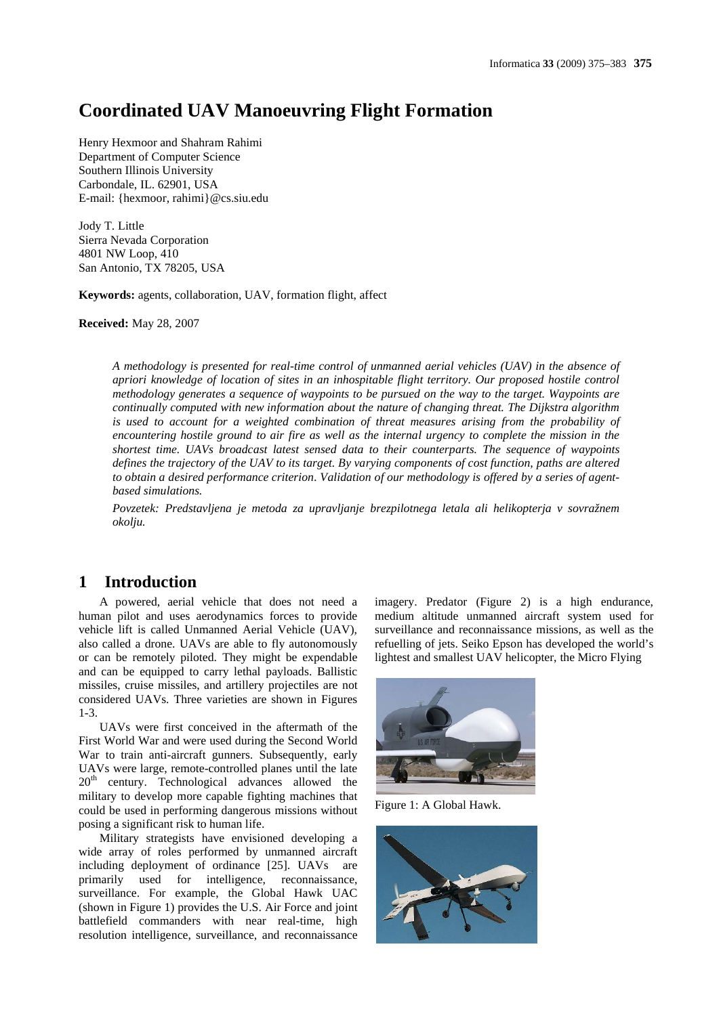# **Coordinated UAV Manoeuvring Flight Formation**

Henry Hexmoor and Shahram Rahimi Department of Computer Science Southern Illinois University Carbondale, IL. 62901, USA E-mail: {hexmoor, rahimi}@cs.siu.edu

Jody T. Little Sierra Nevada Corporation 4801 NW Loop, 410 San Antonio, TX 78205, USA

**Keywords:** agents, collaboration, UAV, formation flight, affect

**Received:** May 28, 2007

*A methodology is presented for real-time control of unmanned aerial vehicles (UAV) in the absence of apriori knowledge of location of sites in an inhospitable flight territory. Our proposed hostile control methodology generates a sequence of waypoints to be pursued on the way to the target. Waypoints are continually computed with new information about the nature of changing threat. The Dijkstra algorithm is used to account for a weighted combination of threat measures arising from the probability of encountering hostile ground to air fire as well as the internal urgency to complete the mission in the shortest time. UAVs broadcast latest sensed data to their counterparts. The sequence of waypoints defines the trajectory of the UAV to its target. By varying components of cost function, paths are altered to obtain a desired performance criterion. Validation of our methodology is offered by a series of agentbased simulations.*

*Povzetek: Predstavljena je metoda za upravljanje brezpilotnega letala ali helikopterja v sovražnem okolju.*

# **1 Introduction**

A powered, aerial vehicle that does not need a human pilot and uses aerodynamics forces to provide vehicle lift is called Unmanned Aerial Vehicle (UAV), also called a drone. UAVs are able to fly autonomously or can be remotely piloted. They might be expendable and can be equipped to carry lethal payloads. Ballistic missiles, cruise missiles, and artillery projectiles are not considered UAVs. Three varieties are shown in Figures 1-3.

UAVs were first conceived in the aftermath of the First World War and were used during the Second World War to train anti-aircraft gunners. Subsequently, early UAVs were large, remote-controlled planes until the late  $20<sup>th</sup>$  century. Technological advances allowed the military to develop more capable fighting machines that could be used in performing dangerous missions without posing a significant risk to human life.

Military strategists have envisioned developing a wide array of roles performed by unmanned aircraft including deployment of ordinance [25]. UAVs are primarily used for intelligence, reconnaissance, surveillance. For example, the Global Hawk UAC (shown in Figure 1) provides the U.S. Air Force and joint battlefield commanders with near real-time, high resolution intelligence, surveillance, and reconnaissance

imagery. Predator (Figure 2) is a high endurance, medium altitude unmanned aircraft system used for surveillance and reconnaissance missions, as well as the refuelling of jets. Seiko Epson has developed the world's lightest and smallest UAV helicopter, the Micro Flying



Figure 1: A Global Hawk.

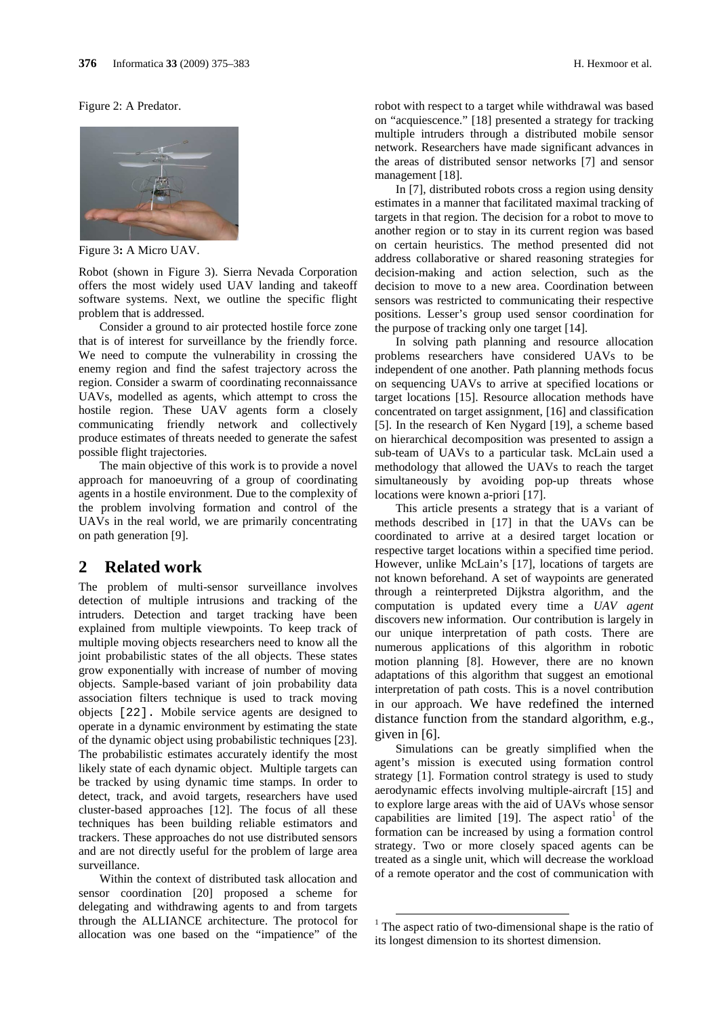#### Figure 2: A Predator.



Figure 3**:** A Micro UAV.

Robot (shown in Figure 3). Sierra Nevada Corporation offers the most widely used UAV landing and takeoff software systems. Next, we outline the specific flight problem that is addressed.

Consider a ground to air protected hostile force zone that is of interest for surveillance by the friendly force. We need to compute the vulnerability in crossing the enemy region and find the safest trajectory across the region. Consider a swarm of coordinating reconnaissance UAVs, modelled as agents, which attempt to cross the hostile region. These UAV agents form a closely communicating friendly network and collectively produce estimates of threats needed to generate the safest possible flight trajectories.

The main objective of this work is to provide a novel approach for manoeuvring of a group of coordinating agents in a hostile environment. Due to the complexity of the problem involving formation and control of the UAVs in the real world, we are primarily concentrating on path generation [9].

## **2 Related work**

The problem of multi-sensor surveillance involves detection of multiple intrusions and tracking of the intruders. Detection and target tracking have been explained from multiple viewpoints. To keep track of multiple moving objects researchers need to know all the joint probabilistic states of the all objects. These states grow exponentially with increase of number of moving objects. Sample-based variant of join probability data association filters technique is used to track moving objects [22]. Mobile service agents are designed to operate in a dynamic environment by estimating the state of the dynamic object using probabilistic techniques [23]. The probabilistic estimates accurately identify the most likely state of each dynamic object. Multiple targets can be tracked by using dynamic time stamps. In order to detect, track, and avoid targets, researchers have used cluster-based approaches [12]. The focus of all these techniques has been building reliable estimators and trackers. These approaches do not use distributed sensors and are not directly useful for the problem of large area surveillance.

Within the context of distributed task allocation and sensor coordination [20] proposed a scheme for delegating and withdrawing agents to and from targets through the ALLIANCE architecture. The protocol for allocation was one based on the "impatience" of the

robot with respect to a target while withdrawal was based on "acquiescence." [18] presented a strategy for tracking multiple intruders through a distributed mobile sensor network. Researchers have made significant advances in the areas of distributed sensor networks [7] and sensor management [18].

In [7], distributed robots cross a region using density estimates in a manner that facilitated maximal tracking of targets in that region. The decision for a robot to move to another region or to stay in its current region was based on certain heuristics. The method presented did not address collaborative or shared reasoning strategies for decision-making and action selection, such as the decision to move to a new area. Coordination between sensors was restricted to communicating their respective positions. Lesser's group used sensor coordination for the purpose of tracking only one target [14].

In solving path planning and resource allocation problems researchers have considered UAVs to be independent of one another. Path planning methods focus on sequencing UAVs to arrive at specified locations or target locations [15]. Resource allocation methods have concentrated on target assignment, [16] and classification [5]. In the research of Ken Nygard [19], a scheme based on hierarchical decomposition was presented to assign a sub-team of UAVs to a particular task. McLain used a methodology that allowed the UAVs to reach the target simultaneously by avoiding pop-up threats whose locations were known a-priori [17].

This article presents a strategy that is a variant of methods described in [17] in that the UAVs can be coordinated to arrive at a desired target location or respective target locations within a specified time period. However, unlike McLain's [17], locations of targets are not known beforehand. A set of waypoints are generated through a reinterpreted Dijkstra algorithm, and the computation is updated every time a *UAV agent* discovers new information. Our contribution is largely in our unique interpretation of path costs. There are numerous applications of this algorithm in robotic motion planning [8]. However, there are no known adaptations of this algorithm that suggest an emotional interpretation of path costs. This is a novel contribution in our approach. We have redefined the interned distance function from the standard algorithm, e.g., given in [6].

Simulations can be greatly simplified when the agent's mission is executed using formation control strategy [1]. Formation control strategy is used to study aerodynamic effects involving multiple-aircraft [15] and to explore large areas with the aid of UAVs whose sensor capabilities are limited  $[19]$ . The aspect ratio<sup>1</sup> of the formation can be increased by using a formation control strategy. Two or more closely spaced agents can be treated as a single unit, which will decrease the workload of a remote operator and the cost of communication with

<sup>&</sup>lt;sup>1</sup> The aspect ratio of two-dimensional shape is the ratio of its longest dimension to its shortest dimension.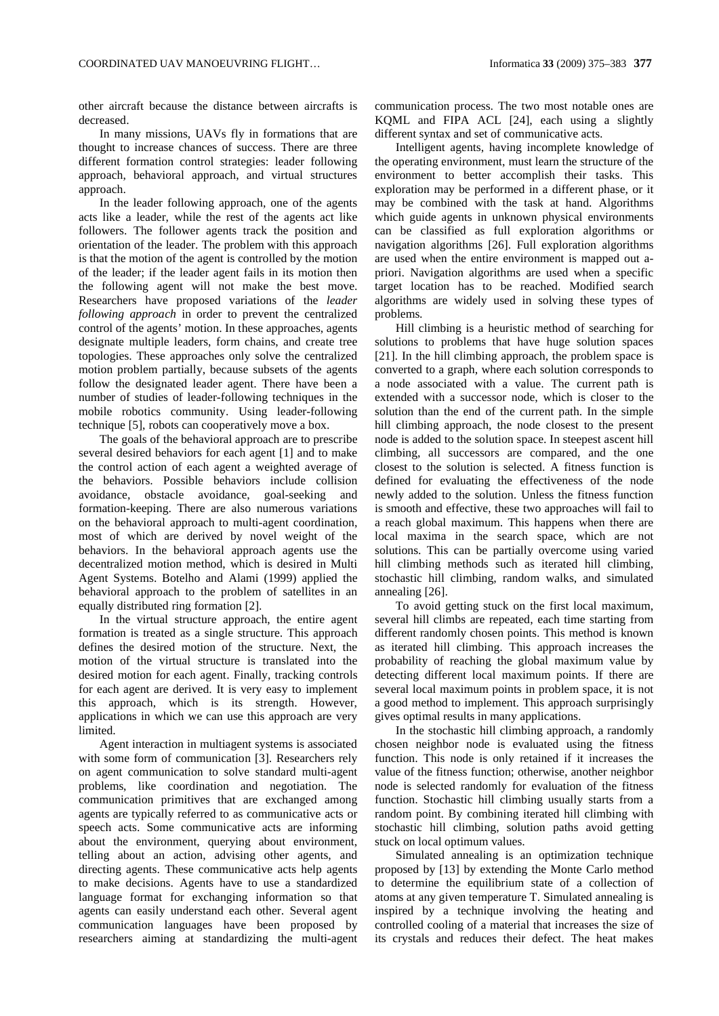other aircraft because the distance between aircrafts is decreased.

In many missions, UAVs fly in formations that are thought to increase chances of success. There are three different formation control strategies: leader following approach, behavioral approach, and virtual structures approach.

In the leader following approach, one of the agents acts like a leader, while the rest of the agents act like followers. The follower agents track the position and orientation of the leader. The problem with this approach is that the motion of the agent is controlled by the motion of the leader; if the leader agent fails in its motion then the following agent will not make the best move. Researchers have proposed variations of the *leader following approach* in order to prevent the centralized control of the agents' motion. In these approaches, agents designate multiple leaders, form chains, and create tree topologies. These approaches only solve the centralized motion problem partially, because subsets of the agents follow the designated leader agent. There have been a number of studies of leader-following techniques in the mobile robotics community. Using leader-following technique [5], robots can cooperatively move a box.

The goals of the behavioral approach are to prescribe several desired behaviors for each agent [1] and to make the control action of each agent a weighted average of the behaviors. Possible behaviors include collision avoidance, obstacle avoidance, goal-seeking and formation-keeping. There are also numerous variations on the behavioral approach to multi-agent coordination, most of which are derived by novel weight of the behaviors. In the behavioral approach agents use the decentralized motion method, which is desired in Multi Agent Systems. Botelho and Alami (1999) applied the behavioral approach to the problem of satellites in an equally distributed ring formation [2].

In the virtual structure approach, the entire agent formation is treated as a single structure. This approach defines the desired motion of the structure. Next, the motion of the virtual structure is translated into the desired motion for each agent. Finally, tracking controls for each agent are derived. It is very easy to implement this approach, which is its strength. However, applications in which we can use this approach are very limited.

Agent interaction in multiagent systems is associated with some form of communication [3]. Researchers rely on agent communication to solve standard multi-agent problems, like coordination and negotiation. The communication primitives that are exchanged among agents are typically referred to as communicative acts or speech acts. Some communicative acts are informing about the environment, querying about environment, telling about an action, advising other agents, and directing agents. These communicative acts help agents to make decisions. Agents have to use a standardized language format for exchanging information so that agents can easily understand each other. Several agent communication languages have been proposed by researchers aiming at standardizing the multi-agent communication process. The two most notable ones are KQML and FIPA ACL [24], each using a slightly different syntax and set of communicative acts.

Intelligent agents, having incomplete knowledge of the operating environment, must learn the structure of the environment to better accomplish their tasks. This exploration may be performed in a different phase, or it may be combined with the task at hand. Algorithms which guide agents in unknown physical environments can be classified as full exploration algorithms or navigation algorithms [26]. Full exploration algorithms are used when the entire environment is mapped out apriori. Navigation algorithms are used when a specific target location has to be reached. Modified search algorithms are widely used in solving these types of problems.

Hill climbing is a heuristic method of searching for solutions to problems that have huge solution spaces [21]. In the hill climbing approach, the problem space is converted to a graph, where each solution corresponds to a node associated with a value. The current path is extended with a successor node, which is closer to the solution than the end of the current path. In the simple hill climbing approach, the node closest to the present node is added to the solution space. In steepest ascent hill climbing, all successors are compared, and the one closest to the solution is selected. A fitness function is defined for evaluating the effectiveness of the node newly added to the solution. Unless the fitness function is smooth and effective, these two approaches will fail to a reach global maximum. This happens when there are local maxima in the search space, which are not solutions. This can be partially overcome using varied hill climbing methods such as iterated hill climbing, stochastic hill climbing, random walks, and simulated annealing [26].

To avoid getting stuck on the first local maximum, several hill climbs are repeated, each time starting from different randomly chosen points. This method is known as iterated hill climbing. This approach increases the probability of reaching the global maximum value by detecting different local maximum points. If there are several local maximum points in problem space, it is not a good method to implement. This approach surprisingly gives optimal results in many applications.

In the stochastic hill climbing approach, a randomly chosen neighbor node is evaluated using the fitness function. This node is only retained if it increases the value of the fitness function; otherwise, another neighbor node is selected randomly for evaluation of the fitness function. Stochastic hill climbing usually starts from a random point. By combining iterated hill climbing with stochastic hill climbing, solution paths avoid getting stuck on local optimum values.

Simulated annealing is an optimization technique proposed by [13] by extending the Monte Carlo method to determine the equilibrium state of a collection of atoms at any given temperature T. Simulated annealing is inspired by a technique involving the heating and controlled cooling of a material that increases the size of its crystals and reduces their defect. The heat makes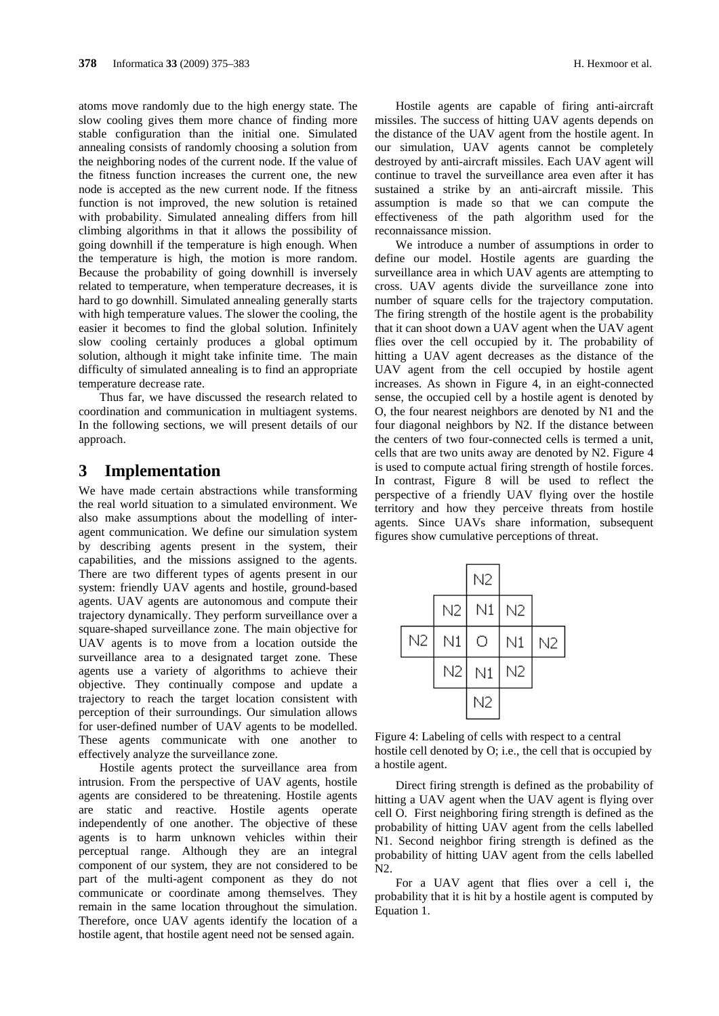atoms move randomly due to the high energy state. The slow cooling gives them more chance of finding more stable configuration than the initial one. Simulated annealing consists of randomly choosing a solution from the neighboring nodes of the current node. If the value of the fitness function increases the current one, the new node is accepted as the new current node. If the fitness function is not improved, the new solution is retained with probability. Simulated annealing differs from hill climbing algorithms in that it allows the possibility of going downhill if the temperature is high enough. When the temperature is high, the motion is more random. Because the probability of going downhill is inversely related to temperature, when temperature decreases, it is hard to go downhill. Simulated annealing generally starts with high temperature values. The slower the cooling, the easier it becomes to find the global solution. Infinitely slow cooling certainly produces a global optimum solution, although it might take infinite time. The main difficulty of simulated annealing is to find an appropriate temperature decrease rate.

Thus far, we have discussed the research related to coordination and communication in multiagent systems. In the following sections, we will present details of our approach.

# **3 Implementation**

We have made certain abstractions while transforming the real world situation to a simulated environment. We also make assumptions about the modelling of interagent communication. We define our simulation system by describing agents present in the system, their capabilities, and the missions assigned to the agents. There are two different types of agents present in our system: friendly UAV agents and hostile, ground-based agents. UAV agents are autonomous and compute their trajectory dynamically. They perform surveillance over a square-shaped surveillance zone. The main objective for UAV agents is to move from a location outside the surveillance area to a designated target zone. These agents use a variety of algorithms to achieve their objective. They continually compose and update a trajectory to reach the target location consistent with perception of their surroundings. Our simulation allows for user-defined number of UAV agents to be modelled. These agents communicate with one another to effectively analyze the surveillance zone.

Hostile agents protect the surveillance area from intrusion. From the perspective of UAV agents, hostile agents are considered to be threatening. Hostile agents are static and reactive. Hostile agents operate independently of one another. The objective of these agents is to harm unknown vehicles within their perceptual range. Although they are an integral component of our system, they are not considered to be part of the multi-agent component as they do not communicate or coordinate among themselves. They remain in the same location throughout the simulation. Therefore, once UAV agents identify the location of a hostile agent, that hostile agent need not be sensed again.

Hostile agents are capable of firing anti-aircraft missiles. The success of hitting UAV agents depends on the distance of the UAV agent from the hostile agent. In our simulation, UAV agents cannot be completely destroyed by anti-aircraft missiles. Each UAV agent will continue to travel the surveillance area even after it has sustained a strike by an anti-aircraft missile. This assumption is made so that we can compute the effectiveness of the path algorithm used for the reconnaissance mission.

We introduce a number of assumptions in order to define our model. Hostile agents are guarding the surveillance area in which UAV agents are attempting to cross. UAV agents divide the surveillance zone into number of square cells for the trajectory computation. The firing strength of the hostile agent is the probability that it can shoot down a UAV agent when the UAV agent flies over the cell occupied by it. The probability of hitting a UAV agent decreases as the distance of the UAV agent from the cell occupied by hostile agent increases. As shown in Figure 4, in an eight-connected sense, the occupied cell by a hostile agent is denoted by O, the four nearest neighbors are denoted by N1 and the four diagonal neighbors by N2. If the distance between the centers of two four-connected cells is termed a unit, cells that are two units away are denoted by N2. Figure 4 is used to compute actual firing strength of hostile forces. In contrast, Figure 8 will be used to reflect the perspective of a friendly UAV flying over the hostile territory and how they perceive threats from hostile agents. Since UAVs share information, subsequent figures show cumulative perceptions of threat.

|    |    | N2 |                |                |  |
|----|----|----|----------------|----------------|--|
|    | N2 | N1 | N <sub>2</sub> |                |  |
| N2 | N1 | О  | N1             | N <sub>2</sub> |  |
|    | N2 | N1 | N2             |                |  |
|    |    | N2 |                |                |  |

Figure 4: Labeling of cells with respect to a central hostile cell denoted by O; i.e., the cell that is occupied by a hostile agent.

Direct firing strength is defined as the probability of hitting a UAV agent when the UAV agent is flying over cell O. First neighboring firing strength is defined as the probability of hitting UAV agent from the cells labelled N1. Second neighbor firing strength is defined as the probability of hitting UAV agent from the cells labelled  $N<sub>2</sub>$ 

For a UAV agent that flies over a cell i, the probability that it is hit by a hostile agent is computed by Equation 1.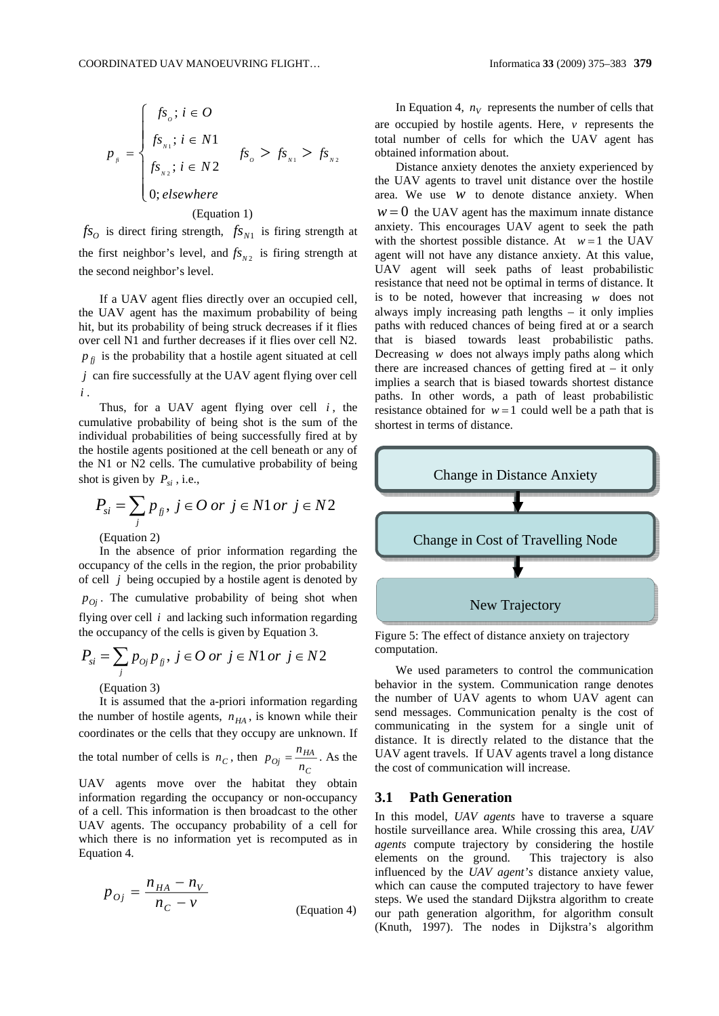$$
p_{\scriptscriptstyle n} = \begin{cases} fs_o; i \in O \\ fs_{\scriptscriptstyle N1}; i \in N1 \\ fs_{\scriptscriptstyle N2}; i \in N2 \end{cases} \quad fs_o > fs_{\scriptscriptstyle N1} > fs_{\scriptscriptstyle N2} \\ 0; elsewhere \end{cases}
$$

#### (Equation 1)

 $f_{\rm s}$  *fs* is direct firing strength,  $f_{\rm s}$  *fs* is firing strength at the first neighbor's level, and  $f_{N_2}$  is firing strength at the second neighbor's level.

If a UAV agent flies directly over an occupied cell, the UAV agent has the maximum probability of being hit, but its probability of being struck decreases if it flies over cell N1 and further decreases if it flies over cell N2.  $p_f$  is the probability that a hostile agent situated at cell

*j* can fire successfully at the UAV agent flying over cell *i* .

Thus, for a UAV agent flying over cell  $i$ , the cumulative probability of being shot is the sum of the individual probabilities of being successfully fired at by the hostile agents positioned at the cell beneath or any of the N1 or N2 cells. The cumulative probability of being shot is given by  $P_{si}$ , i.e.,

$$
P_{si} = \sum_j p_{jj}, \ j \in O \ or \ j \in N1 \ or \ j \in N2
$$

(Equation 2)

In the absence of prior information regarding the occupancy of the cells in the region, the prior probability of cell *j* being occupied by a hostile agent is denoted by  $p_{0j}$ . The cumulative probability of being shot when flying over cell *i* and lacking such information regarding the occupancy of the cells is given by Equation 3.

$$
P_{si} = \sum_{j} p_{oj} p_{jj}, \ j \in O \text{ or } j \in N1 \text{ or } j \in N2
$$
  
(Equation 3)

It is assumed that the a-priori information regarding the number of hostile agents,  $n_{HA}$ , is known while their

coordinates or the cells that they occupy are unknown. If the total number of cells is  $n_C$ , then  $p_{Oj} = \frac{n_H}{n_C}$  $p_{Oj} = \frac{n_{HA}}{n_C}$ . As the

UAV agents move over the habitat they obtain information regarding the occupancy or non-occupancy of a cell. This information is then broadcast to the other UAV agents. The occupancy probability of a cell for which there is no information yet is recomputed as in Equation 4.

$$
p_{oj} = \frac{n_{HA} - n_V}{n_C - v}
$$
 (Equation 4)

In Equation 4,  $n_V$  represents the number of cells that

are occupied by hostile agents. Here, *v* represents the total number of cells for which the UAV agent has obtained information about.

Distance anxiety denotes the anxiety experienced by the UAV agents to travel unit distance over the hostile area. We use *w* to denote distance anxiety. When  $w = 0$  the UAV agent has the maximum innate distance anxiety. This encourages UAV agent to seek the path with the shortest possible distance. At  $w = 1$  the UAV agent will not have any distance anxiety. At this value, UAV agent will seek paths of least probabilistic resistance that need not be optimal in terms of distance. It is to be noted, however that increasing *w* does not always imply increasing path lengths – it only implies paths with reduced chances of being fired at or a search that is biased towards least probabilistic paths. Decreasing *w* does not always imply paths along which there are increased chances of getting fired at  $-$  it only implies a search that is biased towards shortest distance paths. In other words, a path of least probabilistic resistance obtained for  $w = 1$  could well be a path that is shortest in terms of distance.



Figure 5: The effect of distance anxiety on trajectory computation.

We used parameters to control the communication behavior in the system. Communication range denotes the number of UAV agents to whom UAV agent can send messages. Communication penalty is the cost of communicating in the system for a single unit of distance. It is directly related to the distance that the UAV agent travels. If UAV agents travel a long distance the cost of communication will increase.

### **3.1 Path Generation**

In this model, *UAV agents* have to traverse a square hostile surveillance area. While crossing this area, *UAV agents* compute trajectory by considering the hostile elements on the ground. This trajectory is also influenced by the *UAV agent's* distance anxiety value, which can cause the computed trajectory to have fewer steps. We used the standard Dijkstra algorithm to create our path generation algorithm, for algorithm consult (Knuth, 1997). The nodes in Dijkstra's algorithm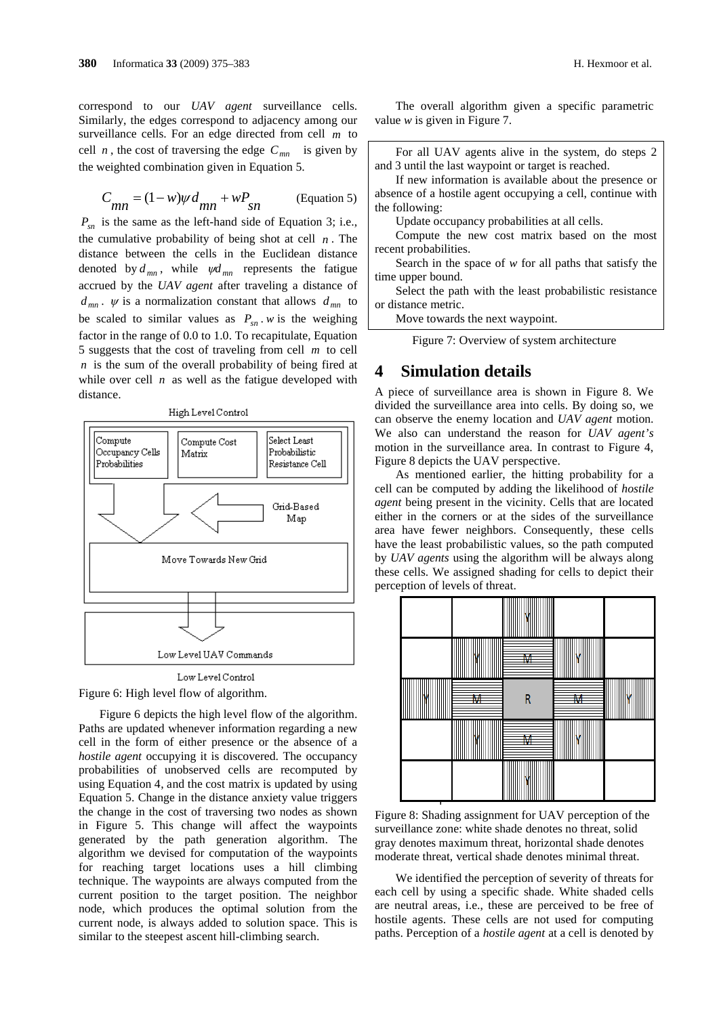correspond to our *UAV agent* surveillance cells. Similarly, the edges correspond to adjacency among our surveillance cells. For an edge directed from cell *m* to cell *n*, the cost of traversing the edge  $C_{mn}$  is given by the weighted combination given in Equation 5.

$$
C_{mn} = (1 - w)\psi d_{mn} + wP_{sn}
$$
 (Equation 5)

 $P_{sn}$  is the same as the left-hand side of Equation 3; i.e., the cumulative probability of being shot at cell *n* . The distance between the cells in the Euclidean distance denoted by  $d_{mn}$ , while  $\psi d_{mn}$  represents the fatigue accrued by the *UAV agent* after traveling a distance of  $d_{mn}$ .  $\psi$  is a normalization constant that allows  $d_{mn}$  to be scaled to similar values as  $P_{sn}$ . *w* is the weighing factor in the range of 0.0 to 1.0. To recapitulate, Equation 5 suggests that the cost of traveling from cell *m* to cell *n* is the sum of the overall probability of being fired at while over cell  $n$  as well as the fatigue developed with distance.





Figure 6: High level flow of algorithm.

Figure 6 depicts the high level flow of the algorithm. Paths are updated whenever information regarding a new cell in the form of either presence or the absence of a *hostile agent* occupying it is discovered. The occupancy probabilities of unobserved cells are recomputed by using Equation 4, and the cost matrix is updated by using Equation 5. Change in the distance anxiety value triggers the change in the cost of traversing two nodes as shown in Figure 5. This change will affect the waypoints generated by the path generation algorithm. The algorithm we devised for computation of the waypoints for reaching target locations uses a hill climbing technique. The waypoints are always computed from the current position to the target position. The neighbor node, which produces the optimal solution from the current node, is always added to solution space. This is similar to the steepest ascent hill-climbing search.

The overall algorithm given a specific parametric value *w* is given in Figure 7.

For all UAV agents alive in the system, do steps 2 and 3 until the last waypoint or target is reached.

If new information is available about the presence or absence of a hostile agent occupying a cell, continue with the following:

Update occupancy probabilities at all cells.

Compute the new cost matrix based on the most recent probabilities.

Search in the space of *w* for all paths that satisfy the time upper bound.

Select the path with the least probabilistic resistance or distance metric.

Move towards the next waypoint.

Figure 7: Overview of system architecture

### **4 Simulation details**

A piece of surveillance area is shown in Figure 8. We divided the surveillance area into cells. By doing so, we can observe the enemy location and *UAV agent* motion. We also can understand the reason for *UAV agent's* motion in the surveillance area. In contrast to Figure 4, Figure 8 depicts the UAV perspective.

As mentioned earlier, the hitting probability for a cell can be computed by adding the likelihood of *hostile agent* being present in the vicinity. Cells that are located either in the corners or at the sides of the surveillance area have fewer neighbors. Consequently, these cells have the least probabilistic values, so the path computed by *UAV agents* using the algorithm will be always along these cells. We assigned shading for cells to depict their perception of levels of threat.



Figure 8: Shading assignment for UAV perception of the surveillance zone: white shade denotes no threat, solid gray denotes maximum threat, horizontal shade denotes moderate threat, vertical shade denotes minimal threat.

We identified the perception of severity of threats for each cell by using a specific shade. White shaded cells are neutral areas, i.e., these are perceived to be free of hostile agents. These cells are not used for computing paths. Perception of a *hostile agent* at a cell is denoted by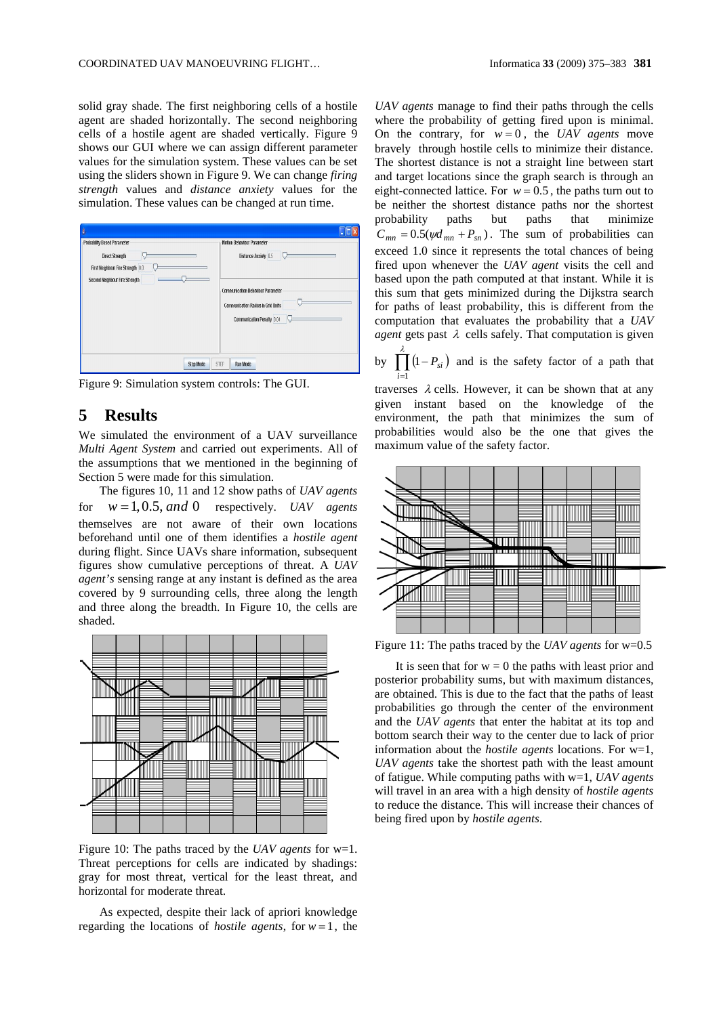solid gray shade. The first neighboring cells of a hostile agent are shaded horizontally. The second neighboring cells of a hostile agent are shaded vertically. Figure 9 shows our GUI where we can assign different parameter values for the simulation system. These values can be set using the sliders shown in Figure 9. We can change *firing strength* values and *distance anxiety* values for the simulation. These values can be changed at run time.

| ŝ                                                                                                                             |             |                                                                                                                                                                    |
|-------------------------------------------------------------------------------------------------------------------------------|-------------|--------------------------------------------------------------------------------------------------------------------------------------------------------------------|
| -Probability Based Parameter<br><b>Direct Strength</b><br>First Neighbour Fire Strength 0.0<br>Second Neighbour Fire Strength |             | Motion Behaviour Parameter<br>Distance Anxiety 0.5<br>Communication Behaviour Parameter<br><b>Communication Radius in Grid Units</b><br>Communication Penalty 0.04 |
| <b>Step Mode</b>                                                                                                              | <b>STEP</b> | Run Mode                                                                                                                                                           |

Figure 9: Simulation system controls: The GUI.

# **5 Results**

We simulated the environment of a UAV surveillance *Multi Agent System* and carried out experiments. All of the assumptions that we mentioned in the beginning of Section 5 were made for this simulation.

The figures 10, 11 and 12 show paths of *UAV agents* for  $w = 1, 0.5, and 0$  respectively. *UAV* agents themselves are not aware of their own locations beforehand until one of them identifies a *hostile agent* during flight. Since UAVs share information, subsequent figures show cumulative perceptions of threat. A *UAV agent's* sensing range at any instant is defined as the area covered by 9 surrounding cells, three along the length and three along the breadth. In Figure 10, the cells are shaded.



Figure 10: The paths traced by the *UAV agents* for w=1. Threat perceptions for cells are indicated by shadings: gray for most threat, vertical for the least threat, and horizontal for moderate threat.

As expected, despite their lack of apriori knowledge regarding the locations of *hostile agents*, for  $w = 1$ , the *UAV agents* manage to find their paths through the cells where the probability of getting fired upon is minimal. On the contrary, for  $w = 0$ , the *UAV agents* move bravely through hostile cells to minimize their distance. The shortest distance is not a straight line between start and target locations since the graph search is through an eight-connected lattice. For  $w = 0.5$ , the paths turn out to be neither the shortest distance paths nor the shortest probability paths but paths that minimize  $C_{mn} = 0.5(\psi d_{mn} + P_{sn})$ . The sum of probabilities can exceed 1.0 since it represents the total chances of being fired upon whenever the *UAV agent* visits the cell and based upon the path computed at that instant. While it is this sum that gets minimized during the Dijkstra search for paths of least probability, this is different from the computation that evaluates the probability that a *UAV agent* gets past  $\lambda$  cells safely. That computation is given

by  $\prod_{i=1}^{\lambda} (1 - P_{si})$  and is the safety factor of a path that 1 *i*

traverses  $\lambda$  cells. However, it can be shown that at any given instant based on the knowledge of the environment, the path that minimizes the sum of probabilities would also be the one that gives the maximum value of the safety factor.



Figure 11: The paths traced by the *UAV agents* for w=0.5

It is seen that for  $w = 0$  the paths with least prior and posterior probability sums, but with maximum distances, are obtained. This is due to the fact that the paths of least probabilities go through the center of the environment and the *UAV agents* that enter the habitat at its top and bottom search their way to the center due to lack of prior information about the *hostile agents* locations. For w=1, *UAV agents* take the shortest path with the least amount of fatigue. While computing paths with w=1, *UAV agents* will travel in an area with a high density of *hostile agents* to reduce the distance. This will increase their chances of being fired upon by *hostile agents*.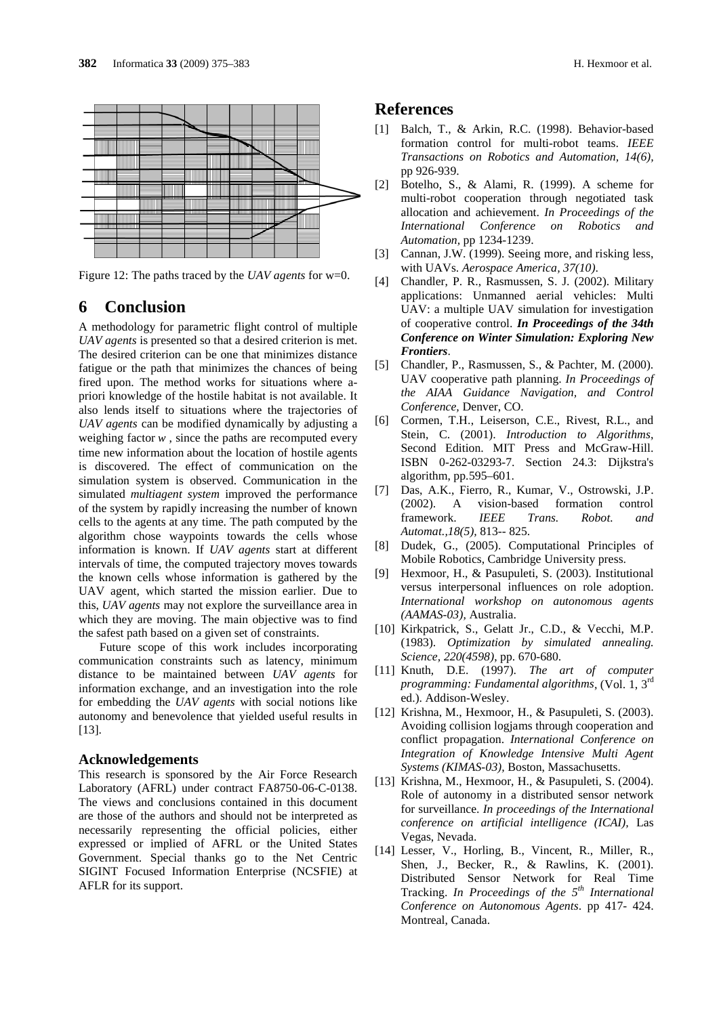

Figure 12: The paths traced by the *UAV agents* for w=0.

# **6 Conclusion**

A methodology for parametric flight control of multiple *UAV agents* is presented so that a desired criterion is met. The desired criterion can be one that minimizes distance fatigue or the path that minimizes the chances of being fired upon. The method works for situations where apriori knowledge of the hostile habitat is not available. It also lends itself to situations where the trajectories of *UAV agents* can be modified dynamically by adjusting a weighing factor *w* , since the paths are recomputed every time new information about the location of hostile agents is discovered. The effect of communication on the simulation system is observed. Communication in the simulated *multiagent system* improved the performance of the system by rapidly increasing the number of known cells to the agents at any time. The path computed by the algorithm chose waypoints towards the cells whose information is known. If *UAV agents* start at different intervals of time, the computed trajectory moves towards the known cells whose information is gathered by the UAV agent, which started the mission earlier. Due to this, *UAV agents* may not explore the surveillance area in which they are moving. The main objective was to find the safest path based on a given set of constraints.

Future scope of this work includes incorporating communication constraints such as latency, minimum distance to be maintained between *UAV agents* for information exchange, and an investigation into the role for embedding the *UAV agents* with social notions like autonomy and benevolence that yielded useful results in [13].

#### **Acknowledgements**

This research is sponsored by the Air Force Research Laboratory (AFRL) under contract FA8750-06-C-0138. The views and conclusions contained in this document are those of the authors and should not be interpreted as necessarily representing the official policies, either expressed or implied of AFRL or the United States Government. Special thanks go to the Net Centric SIGINT Focused Information Enterprise (NCSFIE) at AFLR for its support.

## **References**

- [1] Balch, T., & Arkin, R.C. (1998). Behavior-based formation control for multi-robot teams. *IEEE Transactions on Robotics and Automation, 14(6),* pp 926-939.
- [2] Botelho, S., & Alami, R. (1999). A scheme for multi-robot cooperation through negotiated task allocation and achievement. *In Proceedings of the International Conference on Robotics and Automation,* pp 1234-1239.
- [3] Cannan, J.W. (1999). Seeing more, and risking less, with UAVs. *Aerospace America, 37(10)*.
- [4] Chandler, P. R., Rasmussen, S. J. (2002). Military applications: Unmanned aerial vehicles: Multi UAV: a multiple UAV simulation for investigation of cooperative control. *In Proceedings of the 34th Conference on Winter Simulation: Exploring New Frontiers*.
- [5] Chandler, P., Rasmussen, S., & Pachter, M. (2000). UAV cooperative path planning. *In Proceedings of the AIAA Guidance Navigation, and Control Conference,* Denver, CO.
- [6] Cormen, T.H., Leiserson, C.E., Rivest, R.L., and Stein, C. (2001). *Introduction to Algorithms*, Second Edition. MIT Press and McGraw-Hill. ISBN 0-262-03293-7. Section 24.3: Dijkstra's algorithm, pp.595–601.
- [7] Das, A.K., Fierro, R., Kumar, V., Ostrowski, J.P. (2002). A vision-based formation control framework. *IEEE Trans. Robot. and Automat.,18(5),* 813-- 825.
- [8] Dudek, G., (2005). Computational Principles of Mobile Robotics, Cambridge University press.
- [9] Hexmoor, H., & Pasupuleti, S. (2003). Institutional versus interpersonal influences on role adoption. *International workshop on autonomous agents (AAMAS-03),* Australia.
- [10] Kirkpatrick, S., Gelatt Jr., C.D., & Vecchi, M.P. (1983). *Optimization by simulated annealing. Science, 220(4598)*, pp. 670-680.
- [11] Knuth, D.E. (1997). *The art of computer programming: Fundamental algorithms*, (Vol. 1, 3rd ed.). Addison-Wesley.
- [12] Krishna, M., Hexmoor, H., & Pasupuleti, S. (2003). Avoiding collision logjams through cooperation and conflict propagation. *International Conference on Integration of Knowledge Intensive Multi Agent Systems (KIMAS-03),* Boston, Massachusetts.
- [13] Krishna, M., Hexmoor, H., & Pasupuleti, S. (2004). Role of autonomy in a distributed sensor network for surveillance. *In proceedings of the International conference on artificial intelligence (ICAI),* Las Vegas, Nevada.
- [14] Lesser, V., Horling, B., Vincent, R., Miller, R., Shen, J., Becker, R., & Rawlins, K. (2001). Distributed Sensor Network for Real Time Tracking. *In Proceedings of the 5th International Conference on Autonomous Agents*. pp 417- 424. Montreal, Canada.